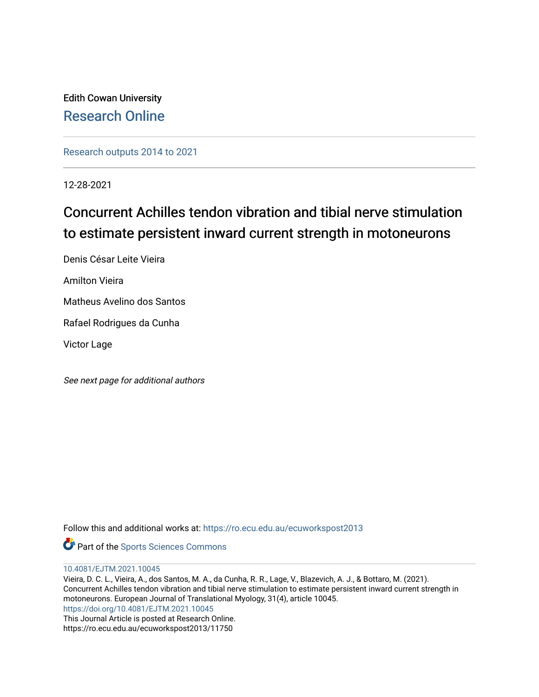Edith Cowan University [Research Online](https://ro.ecu.edu.au/) 

[Research outputs 2014 to 2021](https://ro.ecu.edu.au/ecuworkspost2013) 

12-28-2021

# Concurrent Achilles tendon vibration and tibial nerve stimulation to estimate persistent inward current strength in motoneurons

Denis César Leite Vieira

Amilton Vieira

Matheus Avelino dos Santos

Rafael Rodrigues da Cunha

Victor Lage

See next page for additional authors

Follow this and additional works at: [https://ro.ecu.edu.au/ecuworkspost2013](https://ro.ecu.edu.au/ecuworkspost2013?utm_source=ro.ecu.edu.au%2Fecuworkspost2013%2F11750&utm_medium=PDF&utm_campaign=PDFCoverPages) 



[10.4081/EJTM.2021.10045](http://dx.doi.org/10.4081/EJTM.2021.10045) 

Vieira, D. C. L., Vieira, A., dos Santos, M. A., da Cunha, R. R., Lage, V., Blazevich, A. J., & Bottaro, M. (2021). Concurrent Achilles tendon vibration and tibial nerve stimulation to estimate persistent inward current strength in motoneurons. European Journal of Translational Myology, 31(4), article 10045. <https://doi.org/10.4081/EJTM.2021.10045> This Journal Article is posted at Research Online. https://ro.ecu.edu.au/ecuworkspost2013/11750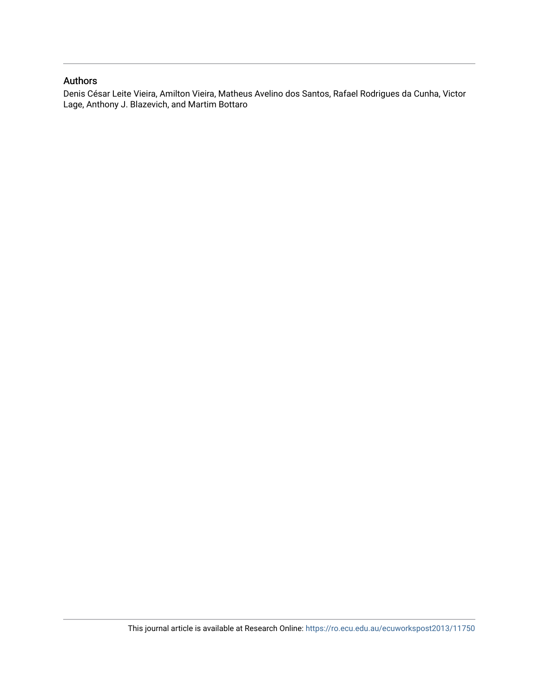# Authors

Denis César Leite Vieira, Amilton Vieira, Matheus Avelino dos Santos, Rafael Rodrigues da Cunha, Victor Lage, Anthony J. Blazevich, and Martim Bottaro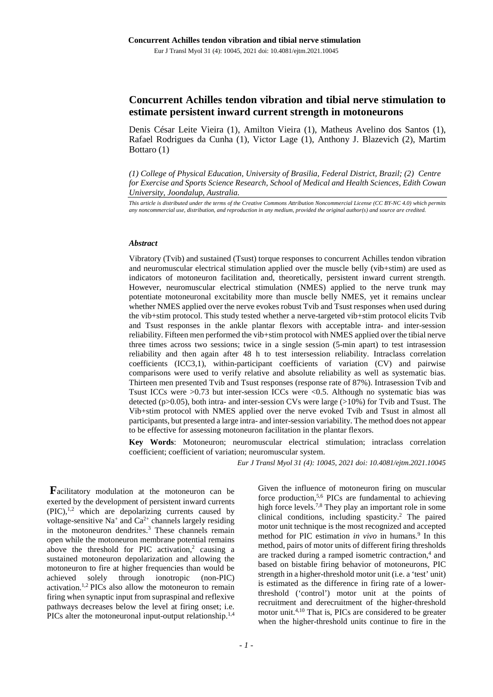# **Concurrent Achilles tendon vibration and tibial nerve stimulation to estimate persistent inward current strength in motoneurons**

Denis César Leite Vieira (1), Amilton Vieira (1), Matheus Avelino dos Santos (1), Rafael Rodrigues da Cunha (1), Victor Lage (1), Anthony J. Blazevich (2), Martim Bottaro (1)

*(1) College of Physical Education, University of Brasilia, Federal District, Brazil; (2) Centre for Exercise and Sports Science Research, School of Medical and Health Sciences, Edith Cowan University, Joondalup, Australia.*

*This article is distributed under the terms of the Creative Commons Attribution Noncommercial License (CC BY-NC 4.0) which permits any noncommercial use, distribution, and reproduction in any medium, provided the original author(s) and source are credited.*

#### *Abstract*

Vibratory (Tvib) and sustained (Tsust) torque responses to concurrent Achilles tendon vibration and neuromuscular electrical stimulation applied over the muscle belly (vib+stim) are used as indicators of motoneuron facilitation and, theoretically, persistent inward current strength. However, neuromuscular electrical stimulation (NMES) applied to the nerve trunk may potentiate motoneuronal excitability more than muscle belly NMES, yet it remains unclear whether NMES applied over the nerve evokes robust Tvib and Tsust responses when used during the vib+stim protocol. This study tested whether a nerve-targeted vib+stim protocol elicits Tvib and Tsust responses in the ankle plantar flexors with acceptable intra- and inter-session reliability. Fifteen men performed the vib+stim protocol with NMES applied over the tibial nerve three times across two sessions; twice in a single session (5-min apart) to test intrasession reliability and then again after 48 h to test intersession reliability. Intraclass correlation coefficients (ICC3,1), within-participant coefficients of variation (CV) and pairwise comparisons were used to verify relative and absolute reliability as well as systematic bias. Thirteen men presented Tvib and Tsust responses (response rate of 87%). Intrasession Tvib and Tsust ICCs were >0.73 but inter-session ICCs were <0.5. Although no systematic bias was detected (p>0.05), both intra- and inter-session CVs were large (>10%) for Tvib and Tsust. The Vib+stim protocol with NMES applied over the nerve evoked Tvib and Tsust in almost all participants, but presented a large intra- and inter-session variability. The method does not appear to be effective for assessing motoneuron facilitation in the plantar flexors.

**Key Words**: Motoneuron; neuromuscular electrical stimulation; intraclass correlation coefficient; coefficient of variation; neuromuscular system.

*Eur J Transl Myol 31 (4): 10045, 2021 doi: 10.4081/ejtm.2021.10045*

**F**acilitatory modulation at the motoneuron can be exerted by the development of persistent inward currents  $(PIC),<sup>1,2</sup>$  which are depolarizing currents caused by voltage-sensitive  $Na^+$  and  $Ca^{2+}$  channels largely residing in the motoneuron dendrites.<sup>3</sup> These channels remain open while the motoneuron membrane potential remains above the threshold for PIC activation, $2$  causing a sustained motoneuron depolarization and allowing the motoneuron to fire at higher frequencies than would be achieved solely through ionotropic (non-PIC) activation.1,2 PICs also allow the motoneuron to remain firing when synaptic input from supraspinal and reflexive pathways decreases below the level at firing onset; i.e. PICs alter the motoneuronal input-output relationship.<sup>1,4</sup>

Given the influence of motoneuron firing on muscular force production,<sup>5,6</sup> PICs are fundamental to achieving high force levels.<sup>7,8</sup> They play an important role in some clinical conditions, including spasticity.2 The paired motor unit technique is the most recognized and accepted method for PIC estimation *in vivo* in humans.<sup>9</sup> In this method, pairs of motor units of different firing thresholds are tracked during a ramped isometric contraction, <sup>4</sup> and based on bistable firing behavior of motoneurons, PIC strength in a higher-threshold motor unit (i.e. a 'test' unit) is estimated as the difference in firing rate of a lowerthreshold ('control') motor unit at the points of recruitment and derecruitment of the higher-threshold motor unit. 4,10 That is, PICs are considered to be greater when the higher-threshold units continue to fire in the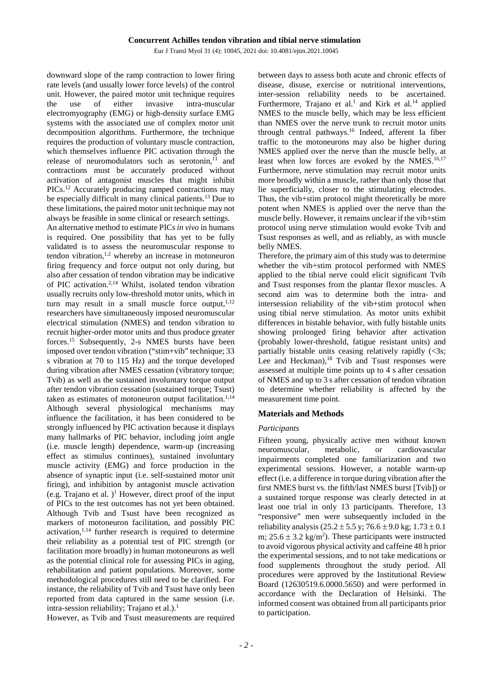downward slope of the ramp contraction to lower firing rate levels (and usually lower force levels) of the control unit. However, the paired motor unit technique requires the use of either invasive intra-muscular electromyography (EMG) or high-density surface EMG systems with the associated use of complex motor unit decomposition algorithms. Furthermore, the technique requires the production of voluntary muscle contraction, which themselves influence PIC activation through the release of neuromodulators such as serotonin,<sup>11</sup> and contractions must be accurately produced without activation of antagonist muscles that might inhibit PICs.<sup>12</sup> Accurately producing ramped contractions may be especially difficult in many clinical patients.<sup>13</sup> Due to these limitations, the paired motor unit technique may not always be feasible in some clinical or research settings.

An alternative method to estimate PICs *in vivo* in humans is required. One possibility that has yet to be fully validated is to assess the neuromuscular response to tendon vibration, $1,2$  whereby an increase in motoneuron firing frequency and force output not only during, but also after cessation of tendon vibration may be indicative of PIC activation. 2,14 Whilst, isolated tendon vibration usually recruits only low-threshold motor units, which in turn may result in a small muscle force output, $1,12$ researchers have simultaneously imposed neuromuscular electrical stimulation (NMES) and tendon vibration to recruit higher-order motor units and thus produce greater forces. <sup>15</sup> Subsequently, 2-s NMES bursts have been imposed over tendon vibration ("stim+vib" technique; 33 s vibration at 70 to 115 Hz) and the torque developed during vibration after NMES cessation (vibratory torque; Tvib) as well as the sustained involuntary torque output after tendon vibration cessation (sustained torque; Tsust) taken as estimates of motoneuron output facilitation.<sup>1,14</sup> Although several physiological mechanisms may influence the facilitation, it has been considered to be strongly influenced by PIC activation because it displays many hallmarks of PIC behavior, including joint angle (i.e. muscle length) dependence, warm-up (increasing effect as stimulus continues), sustained involuntary muscle activity (EMG) and force production in the absence of synaptic input (i.e. self-sustained motor unit firing), and inhibition by antagonist muscle activation (e.g. Trajano et al. )<sup>1</sup> However, direct proof of the input of PICs to the test outcomes has not yet been obtained. Although Tvib and Tsust have been recognized as markers of motoneuron facilitation, and possibly PIC activation, 1,14 further research is required to determine their reliability as a potential test of PIC strength (or facilitation more broadly) in human motoneurons as well as the potential clinical role for assessing PICs in aging, rehabilitation and patient populations. Moreover, some methodological procedures still need to be clarified. For instance, the reliability of Tvib and Tsust have only been reported from data captured in the same session (i.e. intra-session reliability; Trajano et al.). 1

However, as Tvib and Tsust measurements are required

between days to assess both acute and chronic effects of disease, disuse, exercise or nutritional interventions, inter-session reliability needs to be ascertained. Furthermore, Trajano et al.<sup>1</sup> and Kirk et al.<sup>14</sup> applied NMES to the muscle belly, which may be less efficient than NMES over the nerve trunk to recruit motor units through central pathways. <sup>16</sup> Indeed, afferent Ia fiber traffic to the motoneurons may also be higher during NMES applied over the nerve than the muscle belly, at least when low forces are evoked by the NMES.<sup>16,17</sup> Furthermore, nerve stimulation may recruit motor units more broadly within a muscle, rather than only those that lie superficially, closer to the stimulating electrodes. Thus, the vib+stim protocol might theoretically be more potent when NMES is applied over the nerve than the muscle belly. However, it remains unclear if the vib+stim protocol using nerve stimulation would evoke Tvib and Tsust responses as well, and as reliably, as with muscle belly NMES.

Therefore, the primary aim of this study was to determine whether the vib+stim protocol performed with NMES applied to the tibial nerve could elicit significant Tvib and Tsust responses from the plantar flexor muscles. A second aim was to determine both the intra- and intersession reliability of the vib+stim protocol when using tibial nerve stimulation. As motor units exhibit differences in bistable behavior, with fully bistable units showing prolonged firing behavior after activation (probably lower-threshold, fatigue resistant units) and partially bistable units ceasing relatively rapidly (<3s; Lee and Heckman),<sup>18</sup> Tvib and Tsust responses were assessed at multiple time points up to 4 s after cessation of NMES and up to 3 s after cessation of tendon vibration to determine whether reliability is affected by the measurement time point.

## **Materials and Methods**

#### *Participants*

Fifteen young, physically active men without known neuromuscular, metabolic, or cardiovascular impairments completed one familiarization and two experimental sessions. However, a notable warm-up effect (i.e. a difference in torque during vibration after the first NMES burst vs. the fifth/last NMES burst [Tvib]) or a sustained torque response was clearly detected in at least one trial in only 13 participants. Therefore, 13 "responsive" men were subsequently included in the reliability analysis ( $25.2 \pm 5.5$  y;  $76.6 \pm 9.0$  kg;  $1.73 \pm 0.1$ m;  $25.6 \pm 3.2$  kg/m<sup>2</sup>). These participants were instructed to avoid vigorous physical activity and caffeine 48 h prior the experimental sessions, and to not take medications or food supplements throughout the study period. All procedures were approved by the Institutional Review Board (12630519.6.0000.5650) and were performed in accordance with the Declaration of Helsinki. The informed consent was obtained from all participants prior to participation.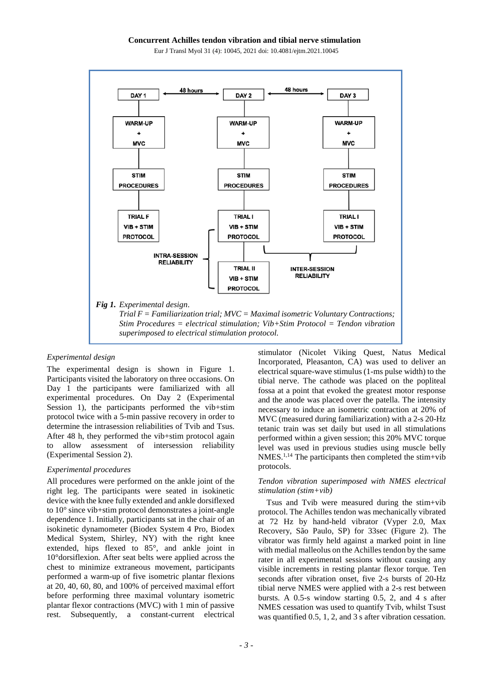Eur J Transl Myol 31 (4): 10045, 2021 doi: 10.4081/ejtm.2021.10045



## *Experimental design*

The experimental design is shown in Figure 1. Participants visited the laboratory on three occasions. On Day 1 the participants were familiarized with all experimental procedures. On Day 2 (Experimental Session 1), the participants performed the vib+stim protocol twice with a 5-min passive recovery in order to determine the intrasession reliabilities of Tvib and Tsus. After 48 h, they performed the vib+stim protocol again to allow assessment of intersession reliability (Experimental Session 2).

### *Experimental procedures*

All procedures were performed on the ankle joint of the right leg. The participants were seated in isokinetic device with the knee fully extended and ankle dorsiflexed to 10° since vib+stim protocol demonstrates a joint-angle dependence 1. Initially, participants sat in the chair of an isokinetic dynamometer (Biodex System 4 Pro, Biodex Medical System, Shirley, NY) with the right knee extended, hips flexed to 85°, and ankle joint in 10°dorsiflexion. After seat belts were applied across the chest to minimize extraneous movement, participants performed a warm-up of five isometric plantar flexions at 20, 40, 60, 80, and 100% of perceived maximal effort before performing three maximal voluntary isometric plantar flexor contractions (MVC) with 1 min of passive rest. Subsequently, a constant-current electrical

stimulator (Nicolet Viking Quest, Natus Medical Incorporated, Pleasanton, CA) was used to deliver an electrical square-wave stimulus (1-ms pulse width) to the tibial nerve. The cathode was placed on the popliteal fossa at a point that evoked the greatest motor response and the anode was placed over the patella. The intensity necessary to induce an isometric contraction at 20% of MVC (measured during familiarization) with a 2-s 20-Hz tetanic train was set daily but used in all stimulations performed within a given session; this 20% MVC torque level was used in previous studies using muscle belly NMES. 1,14 The participants then completed the stim+vib protocols.

## *Tendon vibration superimposed with NMES electrical stimulation (stim+vib)*

Tsus and Tvib were measured during the stim+vib protocol. The Achilles tendon was mechanically vibrated at 72 Hz by hand-held vibrator (Vyper 2.0, Max Recovery, São Paulo, SP) for 33sec (Figure 2). The vibrator was firmly held against a marked point in line with medial malleolus on the Achilles tendon by the same rater in all experimental sessions without causing any visible increments in resting plantar flexor torque. Ten seconds after vibration onset, five 2-s bursts of 20-Hz tibial nerve NMES were applied with a 2-s rest between bursts. A 0.5-s window starting 0.5, 2, and 4 s after NMES cessation was used to quantify Tvib, whilst Tsust was quantified 0.5, 1, 2, and 3 s after vibration cessation.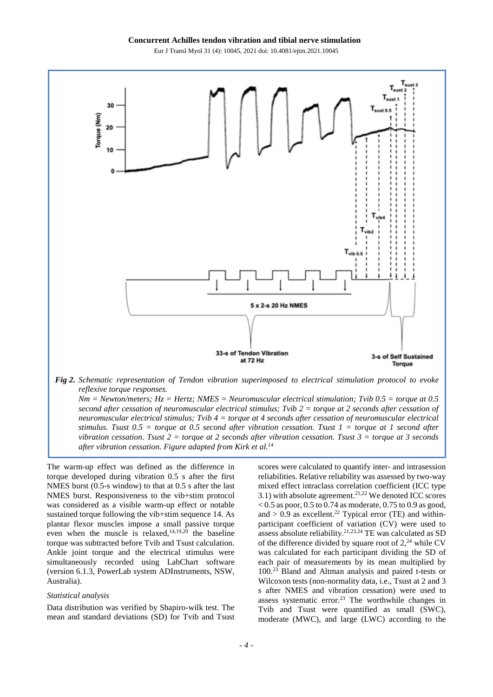

*Nm = Newton/meters; Hz = Hertz; NMES = Neuromuscular electrical stimulation; Tvib 0.5 = torque at 0.5 second after cessation of neuromuscular electrical stimulus; Tvib 2 = torque at 2 seconds after cessation of neuromuscular electrical stimulus; Tvib 4 = torque at 4 seconds after cessation of neuromuscular electrical stimulus. Tsust 0.5 = torque at 0.5 second after vibration cessation. Tsust 1 = torque at 1 second after vibration cessation. Tsust 2 = torque at 2 seconds after vibration cessation. Tsust 3 = torque at 3 seconds after vibration cessation. Figure adapted from Kirk et al.14*

The warm-up effect was defined as the difference in torque developed during vibration 0.5 s after the first NMES burst (0.5-s window) to that at 0.5 s after the last NMES burst. Responsiveness to the vib+stim protocol was considered as a visible warm-up effect or notable sustained torque following the vib+stim sequence 14. As plantar flexor muscles impose a small passive torque even when the muscle is relaxed, 14,19,20 the baseline torque was subtracted before Tvib and Tsust calculation. Ankle joint torque and the electrical stimulus were simultaneously recorded using LabChart software (version 6.1.3, PowerLab system ADInstruments, NSW, Australia).

## *Statistical analysis*

Data distribution was verified by Shapiro-wilk test. The mean and standard deviations (SD) for Tvib and Tsust scores were calculated to quantify inter- and intrasession reliabilities. Relative reliability was assessed by two-way mixed effect intraclass correlation coefficient (ICC type 3.1) with absolute agreement.<sup>21,22</sup> We denoted ICC scores  $< 0.5$  as poor, 0.5 to 0.74 as moderate, 0.75 to 0.9 as good, and  $> 0.9$  as excellent.<sup>22</sup> Typical error (TE) and withinparticipant coefficient of variation (CV) were used to assess absolute reliability. 21,23,24 TE was calculated as SD of the difference divided by square root of  $2<sup>24</sup>$  while CV was calculated for each participant dividing the SD of each pair of measurements by its mean multiplied by 100. <sup>23</sup> Bland and Altman analysis and paired t-tests or Wilcoxon tests (non-normality data, i.e., Tsust at 2 and 3 s after NMES and vibration cessation) were used to assess systematic error. <sup>23</sup> The worthwhile changes in Tvib and Tsust were quantified as small (SWC), moderate (MWC), and large (LWC) according to the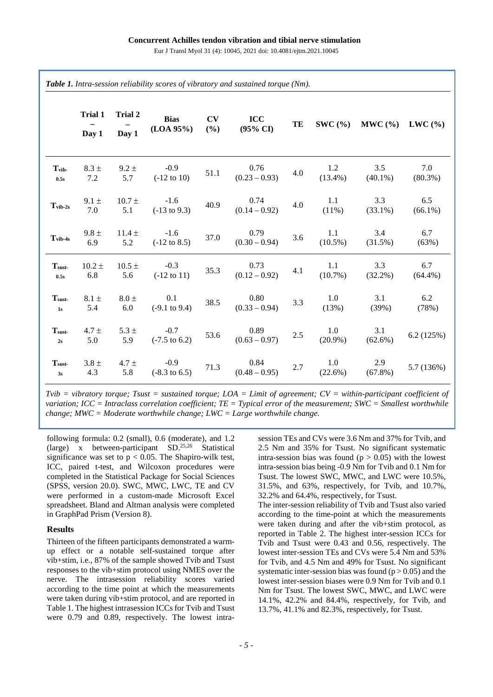|                                    | Trial 1<br>Day 1  | Trial 2<br>Day 1  | <b>Bias</b><br>(LOA 95%)           | CV<br>(%) | <b>ICC</b><br>$(95\% \text{ CI})$ | TE      | $SWC($ % $)$       | $MWC \left( % \right)$ | LWC(%)            |
|------------------------------------|-------------------|-------------------|------------------------------------|-----------|-----------------------------------|---------|--------------------|------------------------|-------------------|
| $T_{\rm vib}$<br>0.5s              | $8.3 \pm$<br>7.2  | $9.2 \pm$<br>5.7  | $-0.9$<br>$(-12 \text{ to } 10)$   | 51.1      | 0.76<br>$(0.23 - 0.93)$           | $4.0\,$ | 1.2<br>$(13.4\%)$  | 3.5<br>$(40.1\%)$      | 7.0<br>$(80.3\%)$ |
| $T_{vib-2s}$                       | $9.1 \pm$<br>7.0  | $10.7 \pm$<br>5.1 | $-1.6$<br>$(-13 \text{ to } 9.3)$  | 40.9      | 0.74<br>$(0.14 - 0.92)$           | $4.0\,$ | 1.1<br>$(11\%)$    | 3.3<br>$(33.1\%)$      | 6.5<br>$(66.1\%)$ |
| $T_{vib-4s}$                       | $9.8 \pm$<br>6.9  | $11.4 \pm$<br>5.2 | $-1.6$<br>$(-12 \text{ to } 8.5)$  | 37.0      | 0.79<br>$(0.30 - 0.94)$           | $3.6\,$ | 1.1<br>$(10.5\%)$  | 3.4<br>(31.5%)         | 6.7<br>(63%)      |
| $\mathbf{T}_{\text{sust}}$<br>0.5s | $10.2 \pm$<br>6.8 | $10.5 \pm$<br>5.6 | $-0.3$<br>$(-12 \text{ to } 11)$   | 35.3      | 0.73<br>$(0.12 - 0.92)$           | 4.1     | 1.1<br>$(10.7\%)$  | 3.3<br>$(32.2\%)$      | 6.7<br>$(64.4\%)$ |
| T <sub>surf</sub><br>1s            | $8.1 \pm$<br>5.4  | $8.0 \pm$<br>6.0  | 0.1<br>$(-9.1 \text{ to } 9.4)$    | 38.5      | 0.80<br>$(0.33 - 0.94)$           | $3.3\,$ | 1.0<br>(13%)       | 3.1<br>(39%)           | 6.2<br>(78%)      |
| $\mathbf{T}_{\text{sust}}$<br>$2s$ | $4.7 \pm$<br>5.0  | $5.3 \pm$<br>5.9  | $-0.7$<br>$(-7.5 \text{ to } 6.2)$ | 53.6      | 0.89<br>$(0.63 - 0.97)$           | $2.5\,$ | 1.0<br>$(20.9\%)$  | 3.1<br>$(62.6\%)$      | 6.2(125%)         |
| T <sub>surf</sub><br>3s            | $3.8 \pm$<br>4.3  | $4.7 \pm$<br>5.8  | $-0.9$<br>$(-8.3 \text{ to } 6.5)$ | 71.3      | 0.84<br>$(0.48 - 0.95)$           | 2.7     | $1.0\,$<br>(22.6%) | 2.9<br>$(67.8\%)$      | 5.7 (136%)        |

*Tvib = vibratory torque; Tsust = sustained torque; LOA = Limit of agreement; CV = within-participant coefficient of variation; ICC = Intraclass correlation coefficient; TE = Typical error of the measurement; SWC = Smallest worthwhile change; MWC = Moderate worthwhile change; LWC = Large worthwhile change.*

following formula: 0.2 (small), 0.6 (moderate), and 1.2 (large) x between-participant SD.25,26 Statistical significance was set to  $p < 0.05$ . The Shapiro-wilk test, ICC, paired t-test, and Wilcoxon procedures were completed in the Statistical Package for Social Sciences (SPSS, version 20.0). SWC, MWC, LWC, TE and CV were performed in a custom-made Microsoft Excel spreadsheet. Bland and Altman analysis were completed in GraphPad Prism (Version 8).

## **Results**

Thirteen of the fifteen participants demonstrated a warmup effect or a notable self-sustained torque after vib+stim, i.e., 87% of the sample showed Tvib and Tsust responses to the vib+stim protocol using NMES over the nerve. The intrasession reliability scores varied according to the time point at which the measurements were taken during vib+stim protocol, and are reported in Table 1. The highest intrasession ICCs for Tvib and Tsust were 0.79 and 0.89, respectively. The lowest intrasession TEs and CVs were 3.6 Nm and 37% for Tvib, and 2.5 Nm and 35% for Tsust. No significant systematic intra-session bias was found ( $p > 0.05$ ) with the lowest intra-session bias being -0.9 Nm for Tvib and 0.1 Nm for Tsust. The lowest SWC, MWC, and LWC were 10.5%, 31.5%, and 63%, respectively, for Tvib, and 10.7%, 32.2% and 64.4%, respectively, for Tsust.

The inter-session reliability of Tvib and Tsust also varied according to the time-point at which the measurements were taken during and after the vib+stim protocol, as reported in Table 2. The highest inter-session ICCs for Tvib and Tsust were 0.43 and 0.56, respectively. The lowest inter-session TEs and CVs were 5.4 Nm and 53% for Tvib, and 4.5 Nm and 49% for Tsust. No significant systematic inter-session bias was found  $(p > 0.05)$  and the lowest inter-session biases were 0.9 Nm for Tvib and 0.1 Nm for Tsust. The lowest SWC, MWC, and LWC were 14.1%, 42.2% and 84.4%, respectively, for Tvib, and 13.7%, 41.1% and 82.3%, respectively, for Tsust.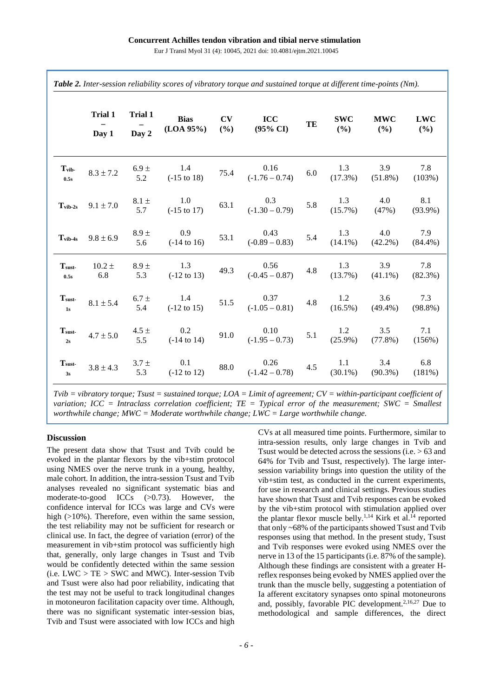|                           | <b>Trial 1</b>    | Trial 1          | <b>Bias</b><br>(LOA 95%)      | CV<br>(%) | <b>ICC</b><br>$(95\% \text{ CI})$ | TE      | <b>SWC</b><br>(%) | <b>MWC</b><br>(%) | <b>LWC</b><br>$(\%)$ |
|---------------------------|-------------------|------------------|-------------------------------|-----------|-----------------------------------|---------|-------------------|-------------------|----------------------|
|                           | Day 1             | Day 2            |                               |           |                                   |         |                   |                   |                      |
| T <sub>vib</sub><br>0.5s  | $8.3 \pm 7.2$     | $6.9 \pm$<br>5.2 | 1.4<br>$(-15 \text{ to } 18)$ | 75.4      | 0.16<br>$(-1.76 - 0.74)$          | $6.0\,$ | 1.3<br>$(17.3\%)$ | 3.9<br>$(51.8\%)$ | 7.8<br>(103%)        |
| $Tvib-2s$                 | $9.1 \pm 7.0$     | $8.1 \pm$<br>5.7 | 1.0<br>$(-15 \text{ to } 17)$ | 63.1      | 0.3<br>$(-1.30 - 0.79)$           | 5.8     | 1.3<br>$(15.7\%)$ | 4.0<br>(47%)      | 8.1<br>$(93.9\%)$    |
| $Tvib-4s$                 | $9.8 \pm 6.9$     | $8.9 \pm$<br>5.6 | 0.9<br>$(-14 \text{ to } 16)$ | 53.1      | 0.43<br>$(-0.89 - 0.83)$          | 5.4     | 1.3<br>$(14.1\%)$ | 4.0<br>$(42.2\%)$ | 7.9<br>$(84.4\%)$    |
| T <sub>sust</sub><br>0.5s | $10.2 \pm$<br>6.8 | $8.9 \pm$<br>5.3 | 1.3<br>$(-12 \text{ to } 13)$ | 49.3      | 0.56<br>$(-0.45 - 0.87)$          | 4.8     | 1.3<br>$(13.7\%)$ | 3.9<br>$(41.1\%)$ | 7.8<br>$(82.3\%)$    |
| Tsust-<br>1s              | $8.1 \pm 5.4$     | $6.7 \pm$<br>5.4 | 1.4<br>$(-12 \text{ to } 15)$ | 51.5      | 0.37<br>$(-1.05 - 0.81)$          | 4.8     | 1.2<br>$(16.5\%)$ | 3.6<br>$(49.4\%)$ | 7.3<br>$(98.8\%)$    |
| T <sub>sust</sub><br>2s   | $4.7 \pm 5.0$     | 4.5 $\pm$<br>5.5 | 0.2<br>$(-14 \text{ to } 14)$ | 91.0      | 0.10<br>$(-1.95 - 0.73)$          | 5.1     | 1.2<br>$(25.9\%)$ | 3.5<br>$(77.8\%)$ | 7.1<br>(156%)        |
| Tsust-<br>3s              | $3.8 \pm 4.3$     | $3.7 \pm$<br>5.3 | 0.1<br>$(-12 \text{ to } 12)$ | 88.0      | 0.26<br>$(-1.42 - 0.78)$          | 4.5     | 1.1<br>$(30.1\%)$ | 3.4<br>$(90.3\%)$ | 6.8<br>(181%)        |

*Tvib = vibratory torque; Tsust = sustained torque; LOA = Limit of agreement; CV = within-participant coefficient of variation; ICC = Intraclass correlation coefficient; TE = Typical error of the measurement; SWC = Smallest worthwhile change; MWC = Moderate worthwhile change; LWC = Large worthwhile change.*

## **Discussion**

The present data show that Tsust and Tvib could be evoked in the plantar flexors by the vib+stim protocol using NMES over the nerve trunk in a young, healthy, male cohort. In addition, the intra-session Tsust and Tvib analyses revealed no significant systematic bias and moderate-to-good ICCs (>0.73). However, the confidence interval for ICCs was large and CVs were high (>10%). Therefore, even within the same session, the test reliability may not be sufficient for research or clinical use. In fact, the degree of variation (error) of the measurement in vib+stim protocol was sufficiently high that, generally, only large changes in Tsust and Tvib would be confidently detected within the same session (i.e.  $LWC > TE > SWC$  and MWC). Inter-session Tvib and Tsust were also had poor reliability, indicating that the test may not be useful to track longitudinal changes in motoneuron facilitation capacity over time. Although, there was no significant systematic inter-session bias, Tvib and Tsust were associated with low ICCs and high CVs at all measured time points. Furthermore, similar to intra-session results, only large changes in Tvib and Tsust would be detected across the sessions (i.e. > 63 and 64% for Tvib and Tsust, respectively). The large intersession variability brings into question the utility of the vib+stim test, as conducted in the current experiments, for use in research and clinical settings. Previous studies have shown that Tsust and Tvib responses can be evoked by the vib+stim protocol with stimulation applied over the plantar flexor muscle belly.<sup>1,14</sup> Kirk et al.<sup>14</sup> reported that only ~68% of the participants showed Tsust and Tvib responses using that method. In the present study, Tsust and Tvib responses were evoked using NMES over the nerve in 13 of the 15 participants (i.e. 87% of the sample). Although these findings are consistent with a greater Hreflex responses being evoked by NMES applied over the trunk than the muscle belly, suggesting a potentiation of Ia afferent excitatory synapses onto spinal motoneurons and, possibly, favorable PIC development.<sup>2,16,27</sup> Due to methodological and sample differences, the direct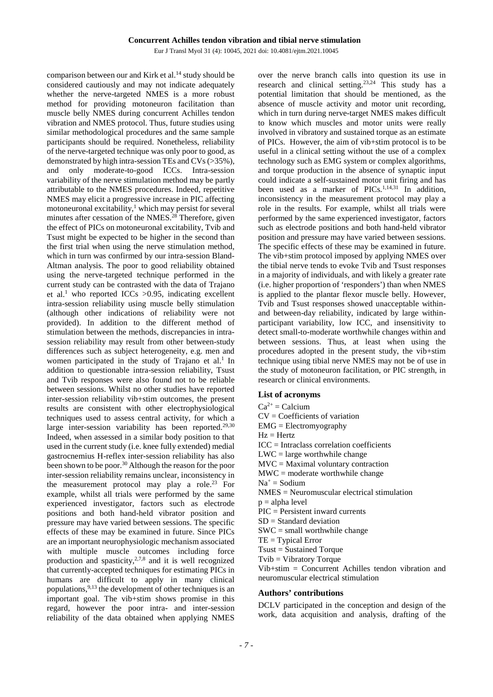Eur J Transl Myol 31 (4): 10045, 2021 doi: 10.4081/ejtm.2021.10045

comparison between our and Kirk et al.<sup>14</sup> study should be considered cautiously and may not indicate adequately whether the nerve-targeted NMES is a more robust method for providing motoneuron facilitation than muscle belly NMES during concurrent Achilles tendon vibration and NMES protocol. Thus, future studies using similar methodological procedures and the same sample participants should be required. Nonetheless, reliability of the nerve-targeted technique was only poor to good, as demonstrated by high intra-session TEs and CVs (>35%), and only moderate-to-good ICCs. Intra-session variability of the nerve stimulation method may be partly attributable to the NMES procedures. Indeed, repetitive NMES may elicit a progressive increase in PIC affecting motoneuronal excitability, $\frac{1}{1}$  which may persist for several minutes after cessation of the NMES.<sup>28</sup> Therefore, given the effect of PICs on motoneuronal excitability, Tvib and Tsust might be expected to be higher in the second than the first trial when using the nerve stimulation method, which in turn was confirmed by our intra-session Bland-Altman analysis. The poor to good reliability obtained using the nerve-targeted technique performed in the current study can be contrasted with the data of Trajano et al.<sup>1</sup> who reported ICCs  $>0.95$ , indicating excellent intra-session reliability using muscle belly stimulation (although other indications of reliability were not provided). In addition to the different method of stimulation between the methods, discrepancies in intrasession reliability may result from other between-study differences such as subject heterogeneity, e.g. men and women participated in the study of Trajano et al.<sup>1</sup> In addition to questionable intra-session reliability, Tsust and Tvib responses were also found not to be reliable between sessions. Whilst no other studies have reported inter-session reliability vib+stim outcomes, the present results are consistent with other electrophysiological techniques used to assess central activity, for which a large inter-session variability has been reported. $29,30$ Indeed, when assessed in a similar body position to that used in the current study (i.e. knee fully extended) medial gastrocnemius H-reflex inter-session reliability has also been shown to be poor.<sup>30</sup> Although the reason for the poor inter-session reliability remains unclear, inconsistency in the measurement protocol may play a role.<sup>23</sup> For example, whilst all trials were performed by the same experienced investigator, factors such as electrode positions and both hand-held vibrator position and pressure may have varied between sessions. The specific effects of these may be examined in future. Since PICs are an important neurophysiologic mechanism associated with multiple muscle outcomes including force production and spasticity, $2.7,8$  and it is well recognized that currently-accepted techniques for estimating PICs in humans are difficult to apply in many clinical populations, 9,13 the development of other techniques is an important goal. The vib+stim shows promise in this regard, however the poor intra- and inter-session reliability of the data obtained when applying NMES

over the nerve branch calls into question its use in research and clinical setting.23,24 This study has a potential limitation that should be mentioned, as the absence of muscle activity and motor unit recording, which in turn during nerve-target NMES makes difficult to know which muscles and motor units were really involved in vibratory and sustained torque as an estimate of PICs. However, the aim of vib+stim protocol is to be useful in a clinical setting without the use of a complex technology such as EMG system or complex algorithms, and torque production in the absence of synaptic input could indicate a self-sustained motor unit firing and has been used as a marker of PICs.<sup>1,14,31</sup> In addition, inconsistency in the measurement protocol may play a role in the results. For example, whilst all trials were performed by the same experienced investigator, factors such as electrode positions and both hand-held vibrator position and pressure may have varied between sessions. The specific effects of these may be examined in future. The vib+stim protocol imposed by applying NMES over the tibial nerve tends to evoke Tvib and Tsust responses in a majority of individuals, and with likely a greater rate (i.e. higher proportion of 'responders') than when NMES is applied to the plantar flexor muscle belly. However, Tvib and Tsust responses showed unacceptable withinand between-day reliability, indicated by large withinparticipant variability, low ICC, and insensitivity to detect small-to-moderate worthwhile changes within and between sessions. Thus, at least when using the procedures adopted in the present study, the vib+stim technique using tibial nerve NMES may not be of use in the study of motoneuron facilitation, or PIC strength, in research or clinical environments.

#### **List of acronyms**

- $Ca^{2+} = Ca$ cium
- CV = Coefficients of variation
- EMG = Electromyography
- $Hz = Hertz$
- ICC = Intraclass correlation coefficients
- $LWC = large$  worthwhile change
- 
- $MVC =$  Maximal voluntary contraction
- $MWC =$  moderate worthwhile change
- $Na^+$  = Sodium
- NMES = Neuromuscular electrical stimulation
- $p = alpha$  level
- PIC = Persistent inward currents
- $SD = Standard deviation$
- $SWC = small$  worthwhile change
- $TE = Typical Error$
- Tsust = Sustained Torque
- Tvib = Vibratory Torque

Vib+stim = Concurrent Achilles tendon vibration and neuromuscular electrical stimulation

## **Authors' contributions**

DCLV participated in the conception and design of the work, data acquisition and analysis, drafting of the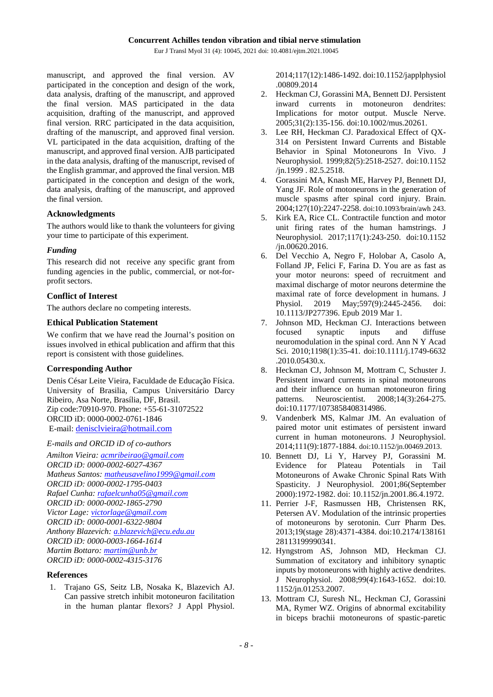Eur J Transl Myol 31 (4): 10045, 2021 doi: 10.4081/ejtm.2021.10045

manuscript, and approved the final version. AV participated in the conception and design of the work, data analysis, drafting of the manuscript, and approved the final version. MAS participated in the data acquisition, drafting of the manuscript, and approved final version. RRC participated in the data acquisition, drafting of the manuscript, and approved final version. VL participated in the data acquisition, drafting of the manuscript, and approved final version. AJB participated in the data analysis, drafting of the manuscript, revised of the English grammar, and approved the final version. MB participated in the conception and design of the work, data analysis, drafting of the manuscript, and approved the final version.

## **Acknowledgments**

The authors would like to thank the volunteers for giving your time to participate of this experiment.

## *Funding*

This research did not receive any specific grant from funding agencies in the public, commercial, or not-forprofit sectors.

# **Conflict of Interest**

The authors declare no competing interests.

## **Ethical Publication Statement**

We confirm that we have read the Journal's position on issues involved in ethical publication and affirm that this report is consistent with those guidelines.

# **Corresponding Author**

Denis César Leite Vieira, Faculdade de Educação Física. University of Brasilia, Campus Universitário Darcy Ribeiro, Asa Norte, Brasília, DF, Brasil. Zip code:70910-970. Phone: +55-61-31072522 ORCID iD: 0000-0002-0761-1846 E-mail[: denisclvieira@hotmail.com](mailto:denisclvieira@hotmail.com)

*E-mails and ORCID iD of co-authors*

*Amilton Vieira[: acmribeirao@gmail.com](mailto:acmribeirao@gmail.com) ORCID iD: 0000-0002-6027-4367 Matheus Santos: [matheusavelino1999@gmail.com](mailto:matheusavelino1999@gmail.com) ORCID iD: 0000-0002-1795-0403 Rafael Cunha: [rafaelcunha05@gmail.com](mailto:rafaelcunha05@gmail.com) ORCID iD: 0000-0002-1865-2790 Victor Lage: [victorlage@gmail.com](mailto:victorlage@gmail.com) ORCID iD: 0000-0001-6322-9804 Anthony Blazevich: [a.blazevich@ecu.edu.au](mailto:a.blazevich@ecu.edu.au) ORCID iD: 0000-0003-1664-1614 Martim Bottaro: [martim@unb.br](mailto:martim@unb.br) ORCID iD: 0000-0002-4315-3176*

# **References**

1. Trajano GS, Seitz LB, Nosaka K, Blazevich AJ. Can passive stretch inhibit motoneuron facilitation in the human plantar flexors? J Appl Physiol.

2014;117(12):1486-1492. doi:10.1152/japplphysiol .00809.2014

- 2. Heckman CJ, Gorassini MA, Bennett DJ. Persistent inward currents in motoneuron dendrites: Implications for motor output. Muscle Nerve. 2005;31(2):135-156. doi:10.1002/mus.20261.
- 3. Lee RH, Heckman CJ. Paradoxical Effect of QX-314 on Persistent Inward Currents and Bistable Behavior in Spinal Motoneurons In Vivo. J Neurophysiol. 1999;82(5):2518-2527. doi:10.1152 /jn.1999 . 82.5.2518.
- 4. Gorassini MA, Knash ME, Harvey PJ, Bennett DJ, Yang JF. Role of motoneurons in the generation of muscle spasms after spinal cord injury. Brain. 2004;127(10):2247-2258. doi:10.1093/brain/awh 243.
- 5. Kirk EA, Rice CL. Contractile function and motor unit firing rates of the human hamstrings. J Neurophysiol. 2017;117(1):243-250. doi:10.1152 /jn.00620.2016.
- 6. Del Vecchio A, Negro F, Holobar A, Casolo A, Folland JP, Felici F, Farina D. You are as fast as your motor neurons: speed of recruitment and maximal discharge of motor neurons determine the maximal rate of force development in humans. J Physiol. 2019 May;597(9):2445-2456. doi: 10.1113/JP277396. Epub 2019 Mar 1.
- 7. Johnson MD, Heckman CJ. Interactions between focused synaptic inputs and diffuse neuromodulation in the spinal cord. Ann N Y Acad Sci. 2010;1198(1):35-41. doi:10.1111/j.1749-6632 .2010.05430.x.
- 8. Heckman CJ, Johnson M, Mottram C, Schuster J. Persistent inward currents in spinal motoneurons and their influence on human motoneuron firing patterns. Neuroscientist. 2008;14(3):264-275. doi:10.1177/1073858408314986.
- 9. Vandenberk MS, Kalmar JM. An evaluation of paired motor unit estimates of persistent inward current in human motoneurons. J Neurophysiol. 2014;111(9):1877-1884. doi:10.1152/jn.00469.2013.
- 10. Bennett DJ, Li Y, Harvey PJ, Gorassini M. Potentials Motoneurons of Awake Chronic Spinal Rats With Spasticity. J Neurophysiol. 2001;86(September 2000):1972-1982. doi: 10.1152/jn.2001.86.4.1972.
- 11. Perrier J-F, Rasmussen HB, Christensen RK, Petersen AV. Modulation of the intrinsic properties of motoneurons by serotonin. Curr Pharm Des. 2013;19(stage 28):4371-4384. doi:10.2174/138161 28113199990341.
- 12. Hyngstrom AS, Johnson MD, Heckman CJ. Summation of excitatory and inhibitory synaptic inputs by motoneurons with highly active dendrites. J Neurophysiol. 2008;99(4):1643-1652. doi:10. 1152/jn.01253.2007.
- 13. Mottram CJ, Suresh NL, Heckman CJ, Gorassini MA, Rymer WZ. Origins of abnormal excitability in biceps brachii motoneurons of spastic-paretic